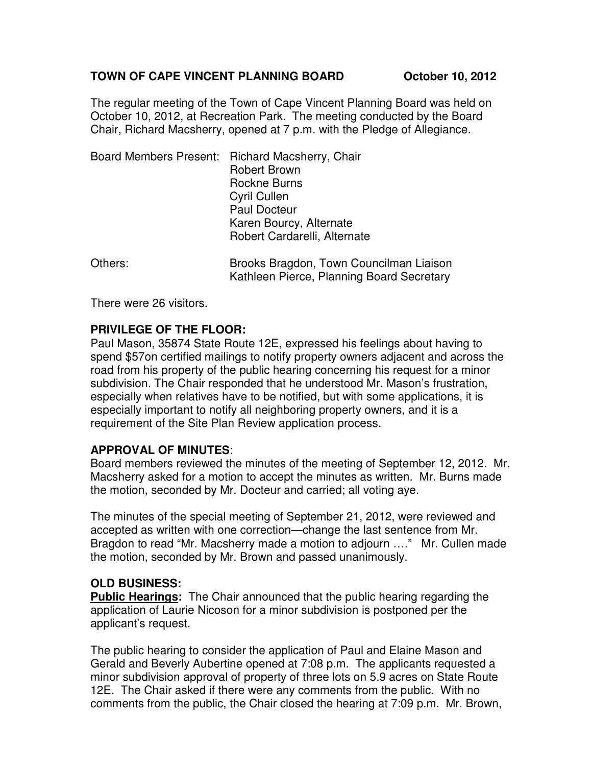#### TOWN OF CAPE VINCENT PLANNING BOARD **October 10, 2012**

The regular meeting of the Town of Cape Vincent Planning Board was held on October 10, 2012, at Recreation Park. The meeting conducted by the Board Chair, Richard Macsherry, opened at 7 p.m. with the Pledge of Allegiance.

| Board Members Present: Richard Macsherry, Chair<br><b>Robert Brown</b><br>Rockne Burns<br><b>Cyril Cullen</b><br><b>Paul Docteur</b><br>Karen Bourcy, Alternate<br>Robert Cardarelli, Alternate |
|-------------------------------------------------------------------------------------------------------------------------------------------------------------------------------------------------|
| - - - - -                                                                                                                                                                                       |

Others: Brooks Bragdon, Town Councilman Liaison Kathleen Pierce, Planning Board Secretary

There were 26 visitors.

## **PRIVILEGE OF THE FLOOR:**

Paul Mason, 35874 State Route 12E, expressed his feelings about having to spend \$57on certified mailings to notify property owners adjacent and across the road from his property of the public hearing concerning his request for a minor subdivision. The Chair responded that he understood Mr. Mason's frustration, especially when relatives have to be notified, but with some applications, it is especially important to notify all neighboring property owners, and it is a requirement of the Site Plan Review application process.

## **APPROVAL OF MINUTES**:

Board members reviewed the minutes of the meeting of September 12, 2012. Mr. Macsherry asked for a motion to accept the minutes as written. Mr. Burns made the motion, seconded by Mr. Docteur and carried; all voting aye.

The minutes of the special meeting of September 21, 2012, were reviewed and accepted as written with one correction—change the last sentence from Mr. Bragdon to read "Mr. Macsherry made a motion to adjourn …." Mr. Cullen made the motion, seconded by Mr. Brown and passed unanimously.

## **OLD BUSINESS:**

**Public Hearings:** The Chair announced that the public hearing regarding the application of Laurie Nicoson for a minor subdivision is postponed per the applicant's request.

The public hearing to consider the application of Paul and Elaine Mason and Gerald and Beverly Aubertine opened at 7:08 p.m. The applicants requested a minor subdivision approval of property of three lots on 5.9 acres on State Route 12E. The Chair asked if there were any comments from the public. With no comments from the public, the Chair closed the hearing at 7:09 p.m. Mr. Brown,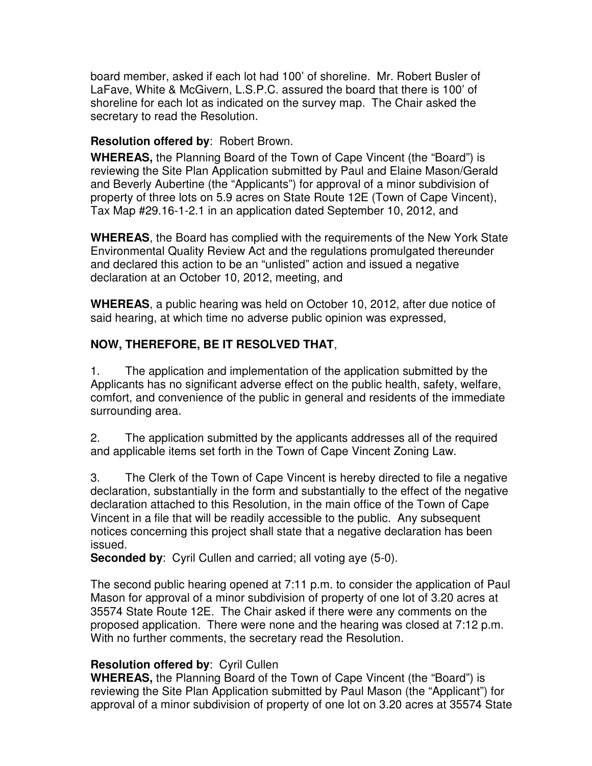board member, asked if each lot had 100' of shoreline. Mr. Robert Busler of LaFave, White & McGivern, L.S.P.C. assured the board that there is 100' of shoreline for each lot as indicated on the survey map. The Chair asked the secretary to read the Resolution.

#### **Resolution offered by**: Robert Brown.

**WHEREAS,** the Planning Board of the Town of Cape Vincent (the "Board") is reviewing the Site Plan Application submitted by Paul and Elaine Mason/Gerald and Beverly Aubertine (the "Applicants") for approval of a minor subdivision of property of three lots on 5.9 acres on State Route 12E (Town of Cape Vincent), Tax Map #29.16-1-2.1 in an application dated September 10, 2012, and

**WHEREAS**, the Board has complied with the requirements of the New York State Environmental Quality Review Act and the regulations promulgated thereunder and declared this action to be an "unlisted" action and issued a negative declaration at an October 10, 2012, meeting, and

**WHEREAS**, a public hearing was held on October 10, 2012, after due notice of said hearing, at which time no adverse public opinion was expressed,

## **NOW, THEREFORE, BE IT RESOLVED THAT**,

1. The application and implementation of the application submitted by the Applicants has no significant adverse effect on the public health, safety, welfare, comfort, and convenience of the public in general and residents of the immediate surrounding area.

2. The application submitted by the applicants addresses all of the required and applicable items set forth in the Town of Cape Vincent Zoning Law.

3. The Clerk of the Town of Cape Vincent is hereby directed to file a negative declaration, substantially in the form and substantially to the effect of the negative declaration attached to this Resolution, in the main office of the Town of Cape Vincent in a file that will be readily accessible to the public. Any subsequent notices concerning this project shall state that a negative declaration has been issued.

**Seconded by**: Cyril Cullen and carried; all voting aye (5-0).

The second public hearing opened at 7:11 p.m. to consider the application of Paul Mason for approval of a minor subdivision of property of one lot of 3.20 acres at 35574 State Route 12E. The Chair asked if there were any comments on the proposed application. There were none and the hearing was closed at 7:12 p.m. With no further comments, the secretary read the Resolution.

## **Resolution offered by**: Cyril Cullen

**WHEREAS,** the Planning Board of the Town of Cape Vincent (the "Board") is reviewing the Site Plan Application submitted by Paul Mason (the "Applicant") for approval of a minor subdivision of property of one lot on 3.20 acres at 35574 State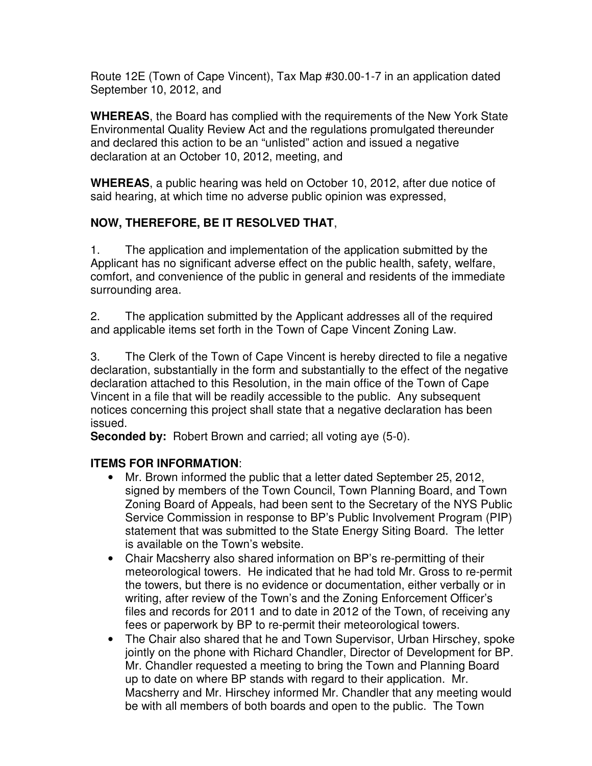Route 12E (Town of Cape Vincent), Tax Map #30.00-1-7 in an application dated September 10, 2012, and

**WHEREAS**, the Board has complied with the requirements of the New York State Environmental Quality Review Act and the regulations promulgated thereunder and declared this action to be an "unlisted" action and issued a negative declaration at an October 10, 2012, meeting, and

**WHEREAS**, a public hearing was held on October 10, 2012, after due notice of said hearing, at which time no adverse public opinion was expressed,

# **NOW, THEREFORE, BE IT RESOLVED THAT**,

1. The application and implementation of the application submitted by the Applicant has no significant adverse effect on the public health, safety, welfare, comfort, and convenience of the public in general and residents of the immediate surrounding area.

2. The application submitted by the Applicant addresses all of the required and applicable items set forth in the Town of Cape Vincent Zoning Law.

3. The Clerk of the Town of Cape Vincent is hereby directed to file a negative declaration, substantially in the form and substantially to the effect of the negative declaration attached to this Resolution, in the main office of the Town of Cape Vincent in a file that will be readily accessible to the public. Any subsequent notices concerning this project shall state that a negative declaration has been issued.

**Seconded by:** Robert Brown and carried; all voting aye (5-0).

## **ITEMS FOR INFORMATION**:

- Mr. Brown informed the public that a letter dated September 25, 2012, signed by members of the Town Council, Town Planning Board, and Town Zoning Board of Appeals, had been sent to the Secretary of the NYS Public Service Commission in response to BP's Public Involvement Program (PIP) statement that was submitted to the State Energy Siting Board. The letter is available on the Town's website.
- Chair Macsherry also shared information on BP's re-permitting of their meteorological towers. He indicated that he had told Mr. Gross to re-permit the towers, but there is no evidence or documentation, either verbally or in writing, after review of the Town's and the Zoning Enforcement Officer's files and records for 2011 and to date in 2012 of the Town, of receiving any fees or paperwork by BP to re-permit their meteorological towers.
- The Chair also shared that he and Town Supervisor, Urban Hirschey, spoke jointly on the phone with Richard Chandler, Director of Development for BP. Mr. Chandler requested a meeting to bring the Town and Planning Board up to date on where BP stands with regard to their application. Mr. Macsherry and Mr. Hirschey informed Mr. Chandler that any meeting would be with all members of both boards and open to the public. The Town